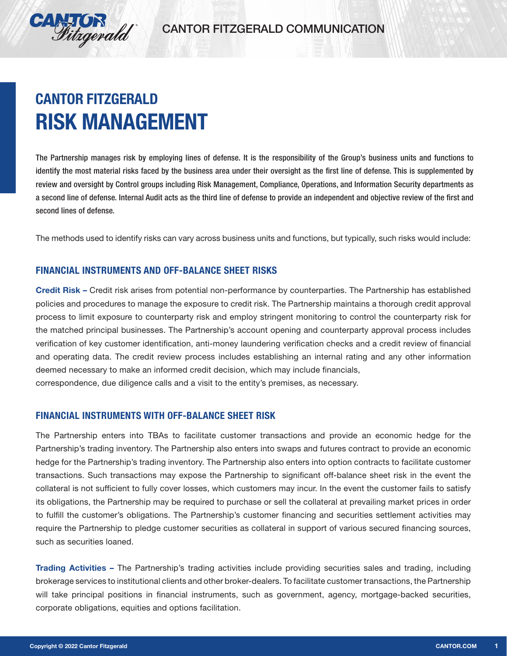

## **CANTOR FITZGERALD RISK MANAGEMENT**

The Partnership manages risk by employing lines of defense. It is the responsibility of the Group's business units and functions to identify the most material risks faced by the business area under their oversight as the first line of defense. This is supplemented by review and oversight by Control groups including Risk Management, Compliance, Operations, and Information Security departments as a second line of defense. Internal Audit acts as the third line of defense to provide an independent and objective review of the first and second lines of defense.

The methods used to identify risks can vary across business units and functions, but typically, such risks would include:

## **FINANCIAL INSTRUMENTS AND OFF-BALANCE SHEET RISKS**

Credit Risk – Credit risk arises from potential non-performance by counterparties. The Partnership has established policies and procedures to manage the exposure to credit risk. The Partnership maintains a thorough credit approval process to limit exposure to counterparty risk and employ stringent monitoring to control the counterparty risk for the matched principal businesses. The Partnership's account opening and counterparty approval process includes verification of key customer identification, anti-money laundering verification checks and a credit review of financial and operating data. The credit review process includes establishing an internal rating and any other information deemed necessary to make an informed credit decision, which may include financials, correspondence, due diligence calls and a visit to the entity's premises, as necessary.

## **FINANCIAL INSTRUMENTS WITH OFF-BALANCE SHEET RISK**

The Partnership enters into TBAs to facilitate customer transactions and provide an economic hedge for the Partnership's trading inventory. The Partnership also enters into swaps and futures contract to provide an economic hedge for the Partnership's trading inventory. The Partnership also enters into option contracts to facilitate customer transactions. Such transactions may expose the Partnership to significant off-balance sheet risk in the event the collateral is not sufficient to fully cover losses, which customers may incur. In the event the customer fails to satisfy its obligations, the Partnership may be required to purchase or sell the collateral at prevailing market prices in order to fulfill the customer's obligations. The Partnership's customer financing and securities settlement activities may require the Partnership to pledge customer securities as collateral in support of various secured financing sources, such as securities loaned.

Trading Activities – The Partnership's trading activities include providing securities sales and trading, including brokerage services to institutional clients and other broker-dealers. To facilitate customer transactions, the Partnership will take principal positions in financial instruments, such as government, agency, mortgage-backed securities, corporate obligations, equities and options facilitation.